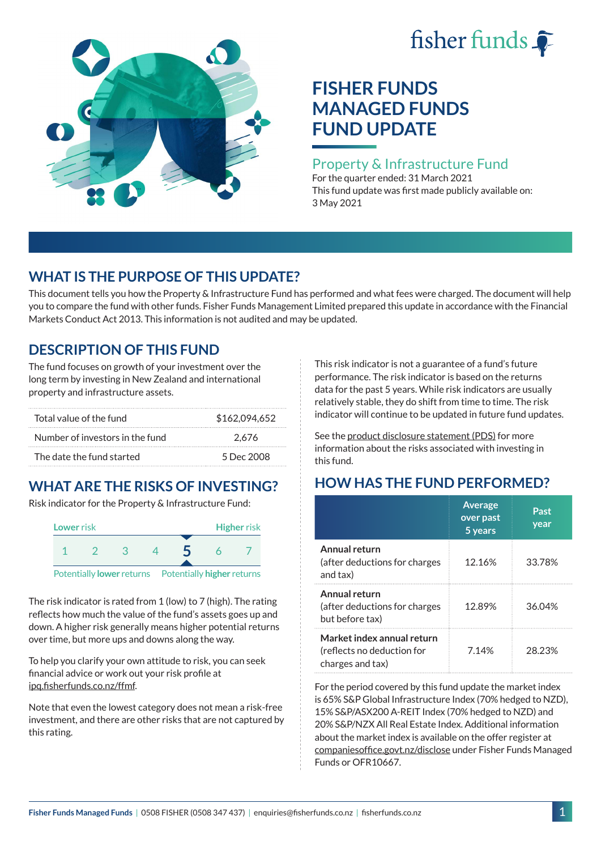# fisher funds  $\hat{\bullet}$



# **FISHER FUNDS MANAGED FUNDS FUND UPDATE**

### Property & Infrastructure Fund

For the quarter ended: 31 March 2021 This fund update was first made publicly available on: 3 May 2021

## **WHAT IS THE PURPOSE OF THIS UPDATE?**

This document tells you how the Property & Infrastructure Fund has performed and what fees were charged. The document will help you to compare the fund with other funds. Fisher Funds Management Limited prepared this update in accordance with the Financial Markets Conduct Act 2013. This information is not audited and may be updated.

## **DESCRIPTION OF THIS FUND**

The fund focuses on growth of your investment over the long term by investing in New Zealand and international property and infrastructure assets.

| Total value of the fund         | \$162,094,652 |
|---------------------------------|---------------|
| Number of investors in the fund | 2.676         |
| The date the fund started       | 5 Dec 2008    |

# **WHAT ARE THE RISKS OF INVESTING?**

Risk indicator for the Property & Infrastructure Fund:



The risk indicator is rated from 1 (low) to 7 (high). The rating reflects how much the value of the fund's assets goes up and down. A higher risk generally means higher potential returns over time, but more ups and downs along the way.

To help you clarify your own attitude to risk, you can seek financial advice or work out your risk profile at [ipq.fisherfunds.co.nz/ffmf](https://ipq.fisherfunds.co.nz/ffmf).

Note that even the lowest category does not mean a risk-free investment, and there are other risks that are not captured by this rating.

This risk indicator is not a guarantee of a fund's future performance. The risk indicator is based on the returns data for the past 5 years. While risk indicators are usually relatively stable, they do shift from time to time. The risk indicator will continue to be updated in future fund updates.

See the [product disclosure statement \(PDS\)](https://fisherfunds.co.nz/assets/PDS/Fisher-Funds-Managed-Funds-PDS.pdf) for more information about the risks associated with investing in this fund.

# **HOW HAS THE FUND PERFORMED?**

|                                                                              | <b>Average</b><br>over past<br>5 years | Past<br>year |
|------------------------------------------------------------------------------|----------------------------------------|--------------|
| Annual return<br>(after deductions for charges<br>and tax)                   | 12.16%                                 | 33.78%       |
| Annual return<br>(after deductions for charges<br>but before tax)            | 12.89%                                 | 36.04%       |
| Market index annual return<br>(reflects no deduction for<br>charges and tax) | 7.14%                                  | 28 23%       |

For the period covered by this fund update the market index is 65% S&P Global Infrastructure Index (70% hedged to NZD), 15% S&P/ASX200 A-REIT Index (70% hedged to NZD) and 20% S&P/NZX All Real Estate Index. Additional information about the market index is available on the offer register at [companiesoffice.govt.nz/disclose](http://companiesoffice.govt.nz/disclose) under Fisher Funds Managed Funds or OFR10667.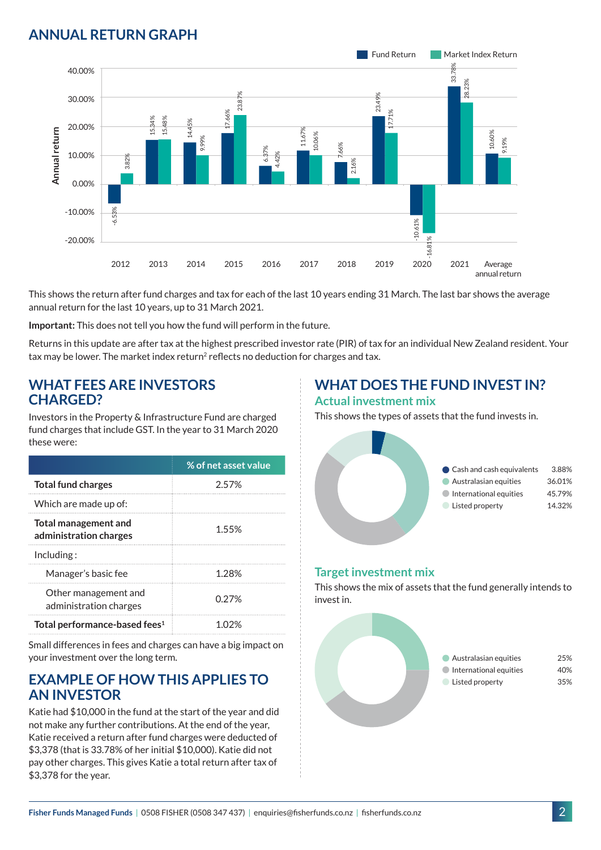## **ANNUAL RETURN GRAPH**



This shows the return after fund charges and tax for each of the last 10 years ending 31 March. The last bar shows the average annual return for the last 10 years, up to 31 March 2021.

**Important:** This does not tell you how the fund will perform in the future.

Returns in this update are after tax at the highest prescribed investor rate (PIR) of tax for an individual New Zealand resident. Your tax may be lower. The market index return<sup>2</sup> reflects no deduction for charges and tax.

#### **WHAT FEES ARE INVESTORS CHARGED?**

Investors in the Property & Infrastructure Fund are charged fund charges that include GST. In the year to 31 March 2020 these were:

|                                                | % of net asset value |
|------------------------------------------------|----------------------|
| <b>Total fund charges</b>                      | 2.57%                |
| Which are made up of:                          |                      |
| Total management and<br>administration charges | 1.55%                |
| Inding:                                        |                      |
| Manager's basic fee                            | 1 28%                |
| Other management and<br>administration charges | 0.27%                |
| Total performance-based fees <sup>1</sup>      | 1 በ'ን%               |

Small differences in fees and charges can have a big impact on your investment over the long term.

#### **EXAMPLE OF HOW THIS APPLIES TO AN INVESTOR**

Katie had \$10,000 in the fund at the start of the year and did not make any further contributions. At the end of the year, Katie received a return after fund charges were deducted of \$3,378 (that is 33.78% of her initial \$10,000). Katie did not pay other charges. This gives Katie a total return after tax of \$3,378 for the year.

# **WHAT DOES THE FUND INVEST IN?**

#### **Actual investment mix**

This shows the types of assets that the fund invests in.



#### **Target investment mix**

This shows the mix of assets that the fund generally intends to invest in.